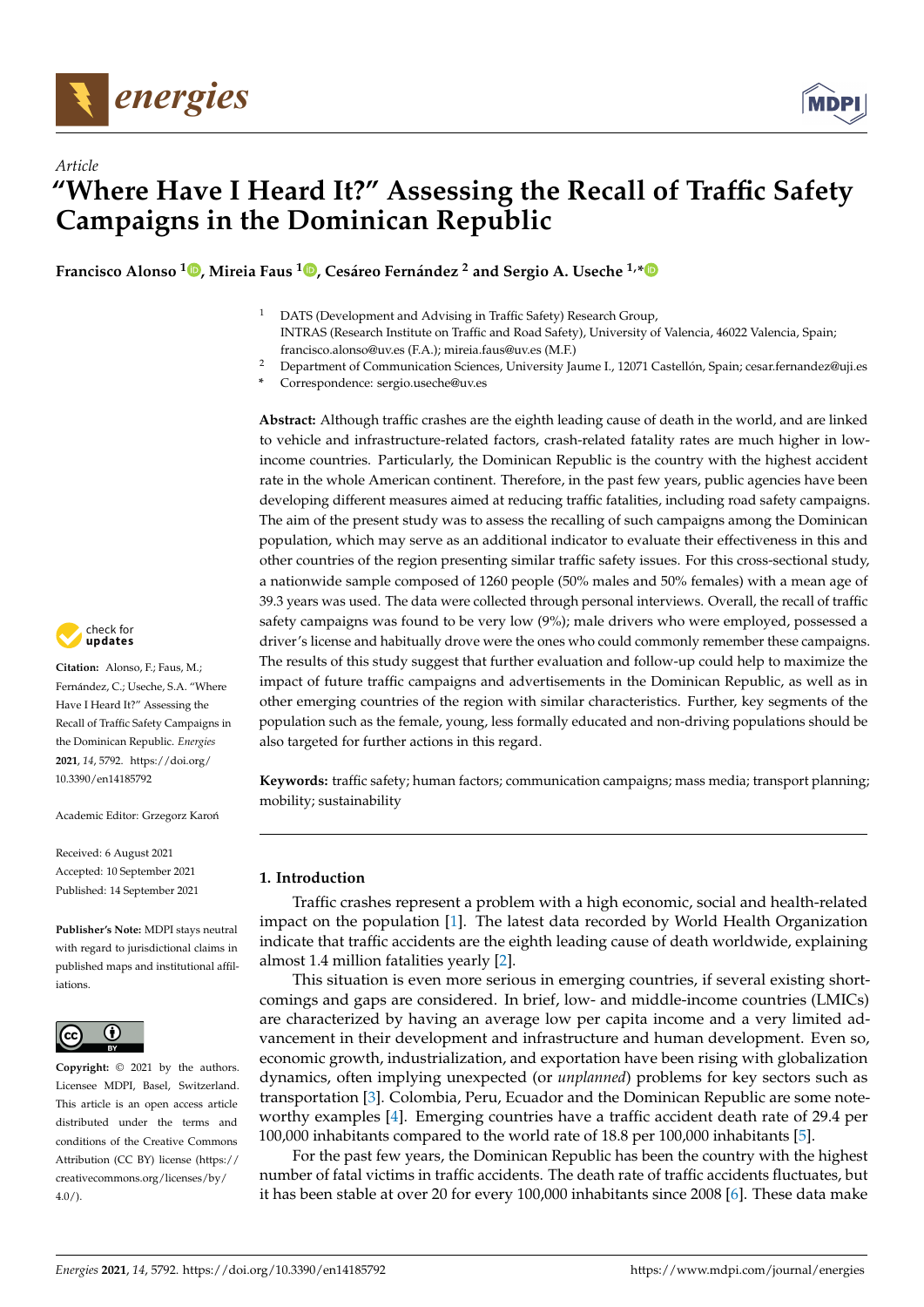



**Francisco Alonso <sup>1</sup> [,](https://orcid.org/0000-0002-9482-8874) Mireia Faus [1](https://orcid.org/0000-0002-8107-7637) , Cesáreo Fernández <sup>2</sup> and Sergio A. Useche 1,[\\*](https://orcid.org/0000-0002-5099-4627)**

- <sup>1</sup> DATS (Development and Advising in Traffic Safety) Research Group, INTRAS (Research Institute on Traffic and Road Safety), University of Valencia, 46022 Valencia, Spain; francisco.alonso@uv.es (F.A.); mireia.faus@uv.es (M.F.)
- <sup>2</sup> Department of Communication Sciences, University Jaume I., 12071 Castellón, Spain; cesar.fernandez@uji.es
- **\*** Correspondence: sergio.useche@uv.es

**Abstract:** Although traffic crashes are the eighth leading cause of death in the world, and are linked to vehicle and infrastructure-related factors, crash-related fatality rates are much higher in lowincome countries. Particularly, the Dominican Republic is the country with the highest accident rate in the whole American continent. Therefore, in the past few years, public agencies have been developing different measures aimed at reducing traffic fatalities, including road safety campaigns. The aim of the present study was to assess the recalling of such campaigns among the Dominican population, which may serve as an additional indicator to evaluate their effectiveness in this and other countries of the region presenting similar traffic safety issues. For this cross-sectional study, a nationwide sample composed of 1260 people (50% males and 50% females) with a mean age of 39.3 years was used. The data were collected through personal interviews. Overall, the recall of traffic safety campaigns was found to be very low (9%); male drivers who were employed, possessed a driver's license and habitually drove were the ones who could commonly remember these campaigns. The results of this study suggest that further evaluation and follow-up could help to maximize the impact of future traffic campaigns and advertisements in the Dominican Republic, as well as in other emerging countries of the region with similar characteristics. Further, key segments of the population such as the female, young, less formally educated and non-driving populations should be also targeted for further actions in this regard.

**Keywords:** traffic safety; human factors; communication campaigns; mass media; transport planning; mobility; sustainability

# **1. Introduction**

Traffic crashes represent a problem with a high economic, social and health-related impact on the population [\[1\]](#page-10-0). The latest data recorded by World Health Organization indicate that traffic accidents are the eighth leading cause of death worldwide, explaining almost 1.4 million fatalities yearly [\[2\]](#page-10-1).

This situation is even more serious in emerging countries, if several existing shortcomings and gaps are considered. In brief, low- and middle-income countries (LMICs) are characterized by having an average low per capita income and a very limited advancement in their development and infrastructure and human development. Even so, economic growth, industrialization, and exportation have been rising with globalization dynamics, often implying unexpected (or *unplanned*) problems for key sectors such as transportation [\[3\]](#page-10-2). Colombia, Peru, Ecuador and the Dominican Republic are some noteworthy examples [\[4\]](#page-10-3). Emerging countries have a traffic accident death rate of 29.4 per 100,000 inhabitants compared to the world rate of 18.8 per 100,000 inhabitants [\[5\]](#page-10-4).

For the past few years, the Dominican Republic has been the country with the highest number of fatal victims in traffic accidents. The death rate of traffic accidents fluctuates, but it has been stable at over 20 for every 100,000 inhabitants since 2008 [\[6\]](#page-10-5). These data make



**Citation:** Alonso, F.; Faus, M.; Fernández, C.; Useche, S.A. "Where Have I Heard It?" Assessing the Recall of Traffic Safety Campaigns in the Dominican Republic. *Energies* **2021**, *14*, 5792. [https://doi.org/](https://doi.org/10.3390/en14185792) [10.3390/en14185792](https://doi.org/10.3390/en14185792)

Academic Editor: Grzegorz Karoń

Received: 6 August 2021 Accepted: 10 September 2021 Published: 14 September 2021

**Publisher's Note:** MDPI stays neutral with regard to jurisdictional claims in published maps and institutional affiliations.



**Copyright:** © 2021 by the authors. Licensee MDPI, Basel, Switzerland. This article is an open access article distributed under the terms and conditions of the Creative Commons Attribution (CC BY) license (https:/[/](https://creativecommons.org/licenses/by/4.0/) [creativecommons.org/licenses/by/](https://creativecommons.org/licenses/by/4.0/)  $4.0/$ ).

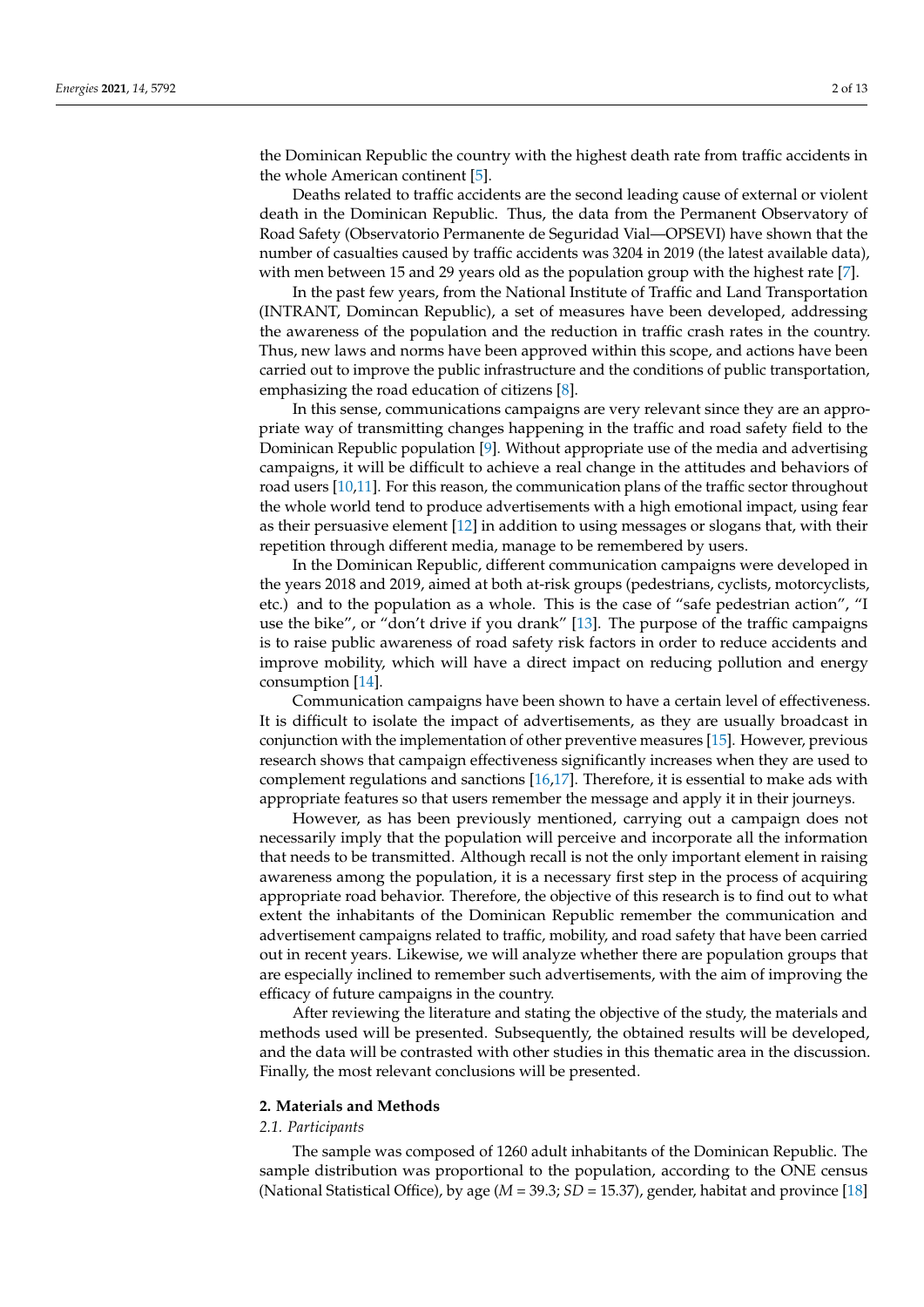the Dominican Republic the country with the highest death rate from traffic accidents in the whole American continent [\[5\]](#page-10-4).

Deaths related to traffic accidents are the second leading cause of external or violent death in the Dominican Republic. Thus, the data from the Permanent Observatory of Road Safety (Observatorio Permanente de Seguridad Vial—OPSEVI) have shown that the number of casualties caused by traffic accidents was 3204 in 2019 (the latest available data), with men between 15 and 29 years old as the population group with the highest rate [\[7\]](#page-10-6).

In the past few years, from the National Institute of Traffic and Land Transportation (INTRANT, Domincan Republic), a set of measures have been developed, addressing the awareness of the population and the reduction in traffic crash rates in the country. Thus, new laws and norms have been approved within this scope, and actions have been carried out to improve the public infrastructure and the conditions of public transportation, emphasizing the road education of citizens [\[8\]](#page-10-7).

In this sense, communications campaigns are very relevant since they are an appropriate way of transmitting changes happening in the traffic and road safety field to the Dominican Republic population [\[9\]](#page-10-8). Without appropriate use of the media and advertising campaigns, it will be difficult to achieve a real change in the attitudes and behaviors of road users [\[10,](#page-10-9)[11\]](#page-10-10). For this reason, the communication plans of the traffic sector throughout the whole world tend to produce advertisements with a high emotional impact, using fear as their persuasive element [\[12\]](#page-10-11) in addition to using messages or slogans that, with their repetition through different media, manage to be remembered by users.

In the Dominican Republic, different communication campaigns were developed in the years 2018 and 2019, aimed at both at-risk groups (pedestrians, cyclists, motorcyclists, etc.) and to the population as a whole. This is the case of "safe pedestrian action", "I use the bike", or "don't drive if you drank" [\[13\]](#page-10-12). The purpose of the traffic campaigns is to raise public awareness of road safety risk factors in order to reduce accidents and improve mobility, which will have a direct impact on reducing pollution and energy consumption [\[14\]](#page-11-0).

Communication campaigns have been shown to have a certain level of effectiveness. It is difficult to isolate the impact of advertisements, as they are usually broadcast in conjunction with the implementation of other preventive measures [\[15\]](#page-11-1). However, previous research shows that campaign effectiveness significantly increases when they are used to complement regulations and sanctions [\[16](#page-11-2)[,17\]](#page-11-3). Therefore, it is essential to make ads with appropriate features so that users remember the message and apply it in their journeys.

However, as has been previously mentioned, carrying out a campaign does not necessarily imply that the population will perceive and incorporate all the information that needs to be transmitted. Although recall is not the only important element in raising awareness among the population, it is a necessary first step in the process of acquiring appropriate road behavior. Therefore, the objective of this research is to find out to what extent the inhabitants of the Dominican Republic remember the communication and advertisement campaigns related to traffic, mobility, and road safety that have been carried out in recent years. Likewise, we will analyze whether there are population groups that are especially inclined to remember such advertisements, with the aim of improving the efficacy of future campaigns in the country.

After reviewing the literature and stating the objective of the study, the materials and methods used will be presented. Subsequently, the obtained results will be developed, and the data will be contrasted with other studies in this thematic area in the discussion. Finally, the most relevant conclusions will be presented.

#### **2. Materials and Methods**

#### *2.1. Participants*

The sample was composed of 1260 adult inhabitants of the Dominican Republic. The sample distribution was proportional to the population, according to the ONE census (National Statistical Office), by age (*M* = 39.3; *SD* = 15.37), gender, habitat and province [\[18\]](#page-11-4)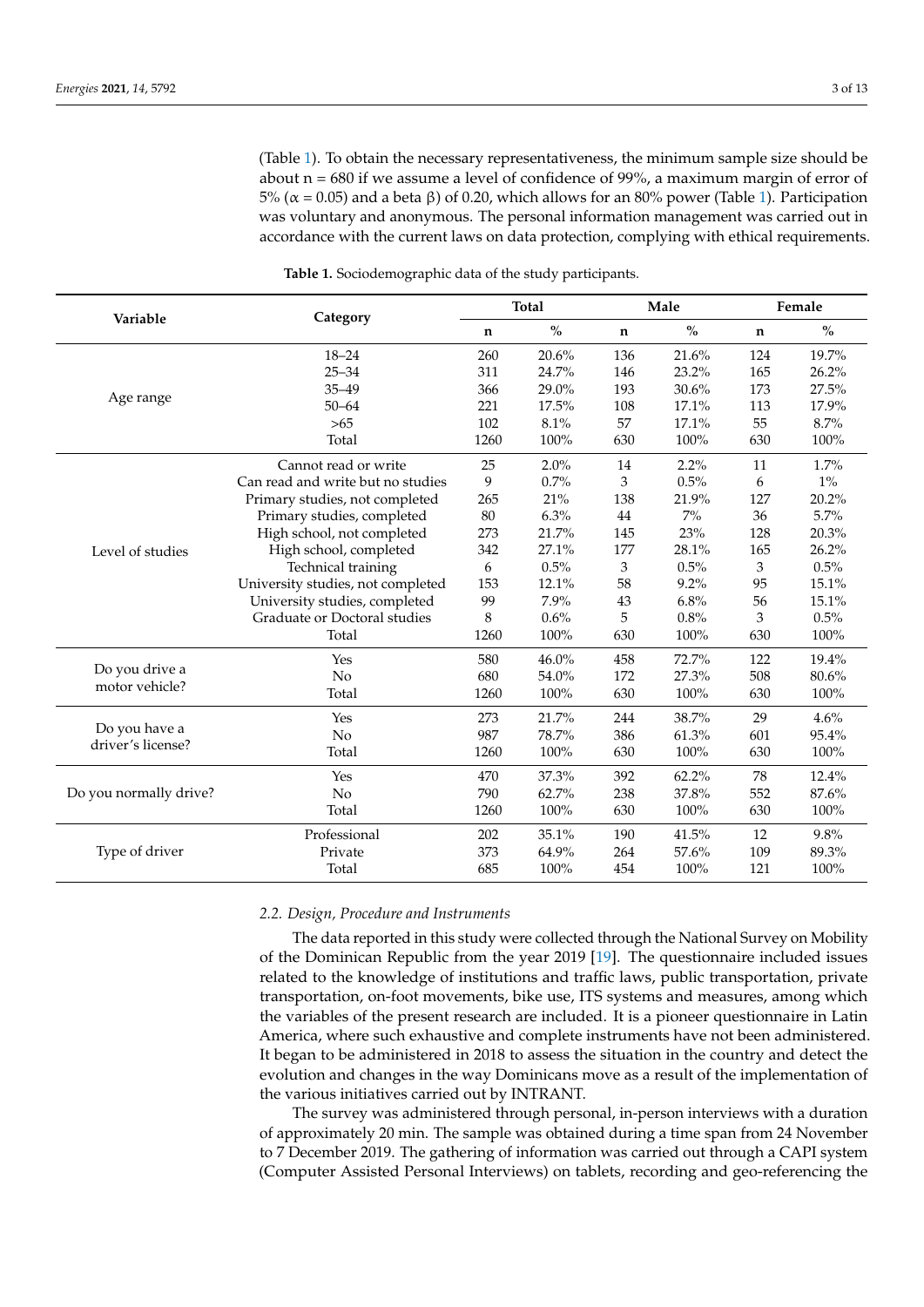(Table [1\)](#page-2-0). To obtain the necessary representativeness, the minimum sample size should be about  $n = 680$  if we assume a level of confidence of 99%, a maximum margin of error of 5% ( $\alpha$  = 0.05) and a beta β) of 0.20, which allows for an 80% power (Table [1\)](#page-2-0). Participation was voluntary and anonymous. The personal information management was carried out in accordance with the current laws on data protection, complying with ethical requirements.

<span id="page-2-0"></span>

|                                  | Category                          |             | <b>Total</b> |             | Male  | Female      |       |
|----------------------------------|-----------------------------------|-------------|--------------|-------------|-------|-------------|-------|
| Variable                         |                                   | $\mathbf n$ | $\%$         | $\mathbf n$ | $\%$  | $\mathbf n$ | $\%$  |
|                                  | $18 - 24$                         | 260         | 20.6%        | 136         | 21.6% | 124         | 19.7% |
|                                  | $25 - 34$                         | 311         | 24.7%        | 146         | 23.2% | 165         | 26.2% |
|                                  | $35 - 49$                         | 366         | 29.0%        | 193         | 30.6% | 173         | 27.5% |
| Age range                        | $50 - 64$                         | 221         | 17.5%        | 108         | 17.1% | 113         | 17.9% |
|                                  | $>65$                             | 102         | 8.1%         | 57          | 17.1% | 55          | 8.7%  |
|                                  | Total                             | 1260        | 100%         | 630         | 100%  | 630         | 100%  |
|                                  | Cannot read or write              | 25          | 2.0%         | 14          | 2.2%  | 11          | 1.7%  |
|                                  | Can read and write but no studies | 9           | 0.7%         | 3           | 0.5%  | 6           | $1\%$ |
|                                  | Primary studies, not completed    | 265         | 21%          | 138         | 21.9% | 127         | 20.2% |
|                                  | Primary studies, completed        | 80          | 6.3%         | 44          | $7\%$ | 36          | 5.7%  |
|                                  | High school, not completed        | 273         | 21.7%        | 145         | 23%   | 128         | 20.3% |
| Level of studies                 | High school, completed            | 342         | 27.1%        | 177         | 28.1% | 165         | 26.2% |
|                                  | Technical training                | 6           | 0.5%         | 3           | 0.5%  | 3           | 0.5%  |
|                                  | University studies, not completed | 153         | 12.1%        | 58          | 9.2%  | 95          | 15.1% |
|                                  | University studies, completed     | 99          | 7.9%         | 43          | 6.8%  | 56          | 15.1% |
|                                  | Graduate or Doctoral studies      | 8           | 0.6%         | 5           | 0.8%  | 3           | 0.5%  |
|                                  | Total                             | 1260        | 100%         | 630         | 100%  | 630         | 100%  |
|                                  | Yes                               | 580         | 46.0%        | 458         | 72.7% | 122         | 19.4% |
| Do you drive a<br>motor vehicle? | No                                | 680         | 54.0%        | 172         | 27.3% | 508         | 80.6% |
|                                  | Total                             | 1260        | 100%         | 630         | 100%  | 630         | 100%  |
| Do you have a                    | Yes                               | 273         | 21.7%        | 244         | 38.7% | 29          | 4.6%  |
| driver's license?                | No                                | 987         | 78.7%        | 386         | 61.3% | 601         | 95.4% |
|                                  | Total                             | 1260        | 100%         | 630         | 100%  | 630         | 100%  |
|                                  | Yes                               | 470         | 37.3%        | 392         | 62.2% | 78          | 12.4% |
| Do you normally drive?           | No                                | 790         | 62.7%        | 238         | 37.8% | 552         | 87.6% |
|                                  | Total                             | 1260        | 100%         | 630         | 100%  | 630         | 100%  |
| Type of driver                   | Professional                      | 202         | 35.1%        | 190         | 41.5% | 12          | 9.8%  |
|                                  | Private                           | 373         | 64.9%        | 264         | 57.6% | 109         | 89.3% |
|                                  | Total                             | 685         | 100%         | 454         | 100%  | 121         | 100%  |

**Table 1.** Sociodemographic data of the study participants.

## *2.2. Design, Procedure and Instruments*

The data reported in this study were collected through the National Survey on Mobility of the Dominican Republic from the year 2019 [\[19\]](#page-11-5). The questionnaire included issues related to the knowledge of institutions and traffic laws, public transportation, private transportation, on-foot movements, bike use, ITS systems and measures, among which the variables of the present research are included. It is a pioneer questionnaire in Latin America, where such exhaustive and complete instruments have not been administered. It began to be administered in 2018 to assess the situation in the country and detect the evolution and changes in the way Dominicans move as a result of the implementation of the various initiatives carried out by INTRANT.

The survey was administered through personal, in-person interviews with a duration of approximately 20 min. The sample was obtained during a time span from 24 November to 7 December 2019. The gathering of information was carried out through a CAPI system (Computer Assisted Personal Interviews) on tablets, recording and geo-referencing the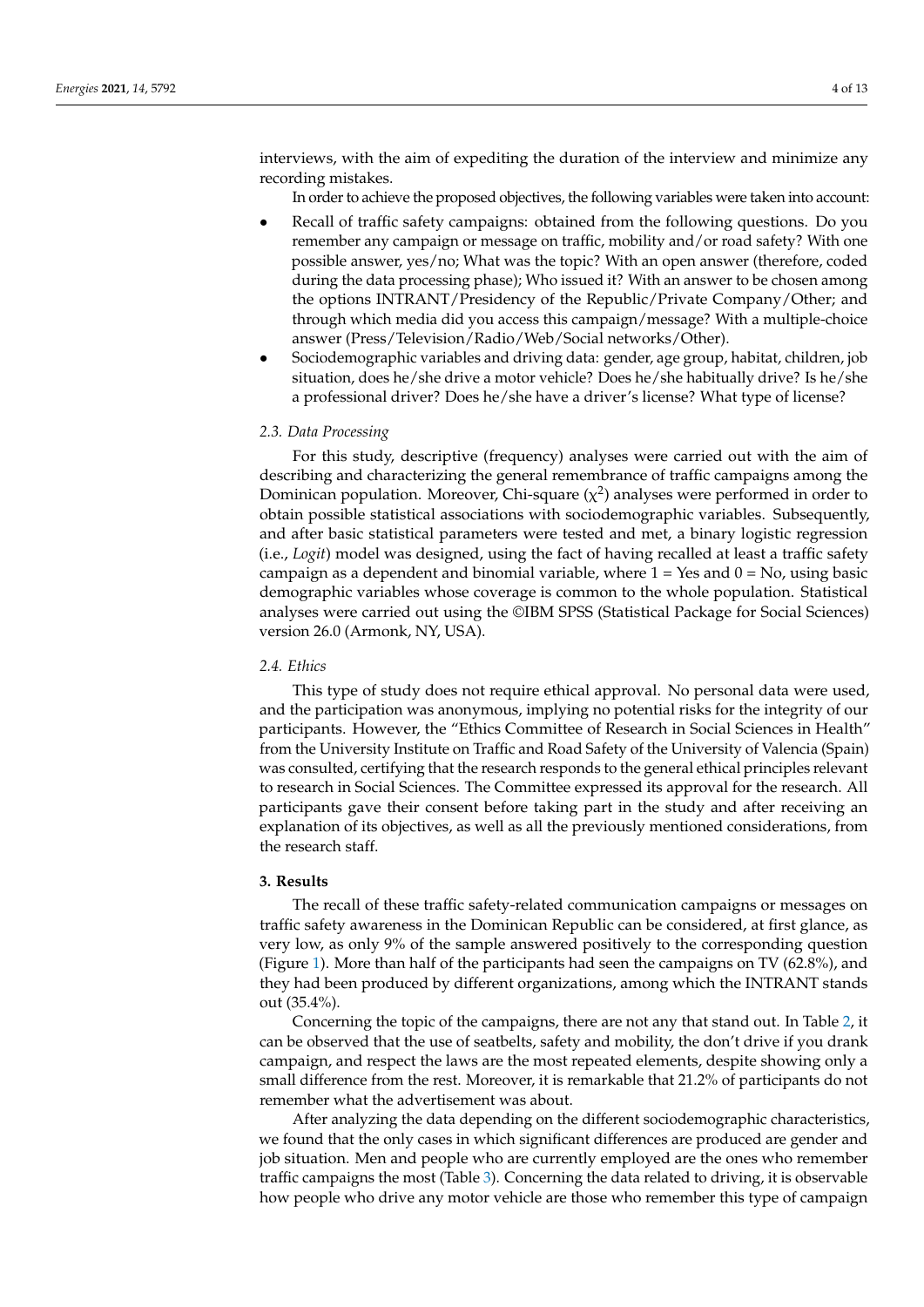interviews, with the aim of expediting the duration of the interview and minimize any recording mistakes.

In order to achieve the proposed objectives, the following variables were taken into account:

- Recall of traffic safety campaigns: obtained from the following questions. Do you remember any campaign or message on traffic, mobility and/or road safety? With one possible answer, yes/no; What was the topic? With an open answer (therefore, coded during the data processing phase); Who issued it? With an answer to be chosen among the options INTRANT/Presidency of the Republic/Private Company/Other; and through which media did you access this campaign/message? With a multiple-choice answer (Press/Television/Radio/Web/Social networks/Other).
- Sociodemographic variables and driving data: gender, age group, habitat, children, job situation, does he/she drive a motor vehicle? Does he/she habitually drive? Is he/she a professional driver? Does he/she have a driver's license? What type of license?

# *2.3. Data Processing*

For this study, descriptive (frequency) analyses were carried out with the aim of describing and characterizing the general remembrance of traffic campaigns among the Dominican population. Moreover, Chi-square ( $\chi^2$ ) analyses were performed in order to obtain possible statistical associations with sociodemographic variables. Subsequently, and after basic statistical parameters were tested and met, a binary logistic regression (i.e., *Logit*) model was designed, using the fact of having recalled at least a traffic safety campaign as a dependent and binomial variable, where  $1 = Yes$  and  $0 = No$ , using basic demographic variables whose coverage is common to the whole population. Statistical analyses were carried out using the ©IBM SPSS (Statistical Package for Social Sciences) version 26.0 (Armonk, NY, USA).

#### *2.4. Ethics*

This type of study does not require ethical approval. No personal data were used, and the participation was anonymous, implying no potential risks for the integrity of our participants. However, the "Ethics Committee of Research in Social Sciences in Health" from the University Institute on Traffic and Road Safety of the University of Valencia (Spain) was consulted, certifying that the research responds to the general ethical principles relevant to research in Social Sciences. The Committee expressed its approval for the research. All participants gave their consent before taking part in the study and after receiving an explanation of its objectives, as well as all the previously mentioned considerations, from the research staff.

## **3. Results**

The recall of these traffic safety-related communication campaigns or messages on traffic safety awareness in the Dominican Republic can be considered, at first glance, as very low, as only 9% of the sample answered positively to the corresponding question (Figure [1\)](#page-4-0). More than half of the participants had seen the campaigns on TV (62.8%), and they had been produced by different organizations, among which the INTRANT stands out (35.4%).

Concerning the topic of the campaigns, there are not any that stand out. In Table [2,](#page-5-0) it can be observed that the use of seatbelts, safety and mobility, the don't drive if you drank campaign, and respect the laws are the most repeated elements, despite showing only a small difference from the rest. Moreover, it is remarkable that 21.2% of participants do not remember what the advertisement was about.

After analyzing the data depending on the different sociodemographic characteristics, we found that the only cases in which significant differences are produced are gender and job situation. Men and people who are currently employed are the ones who remember traffic campaigns the most (Table [3\)](#page-5-1). Concerning the data related to driving, it is observable how people who drive any motor vehicle are those who remember this type of campaign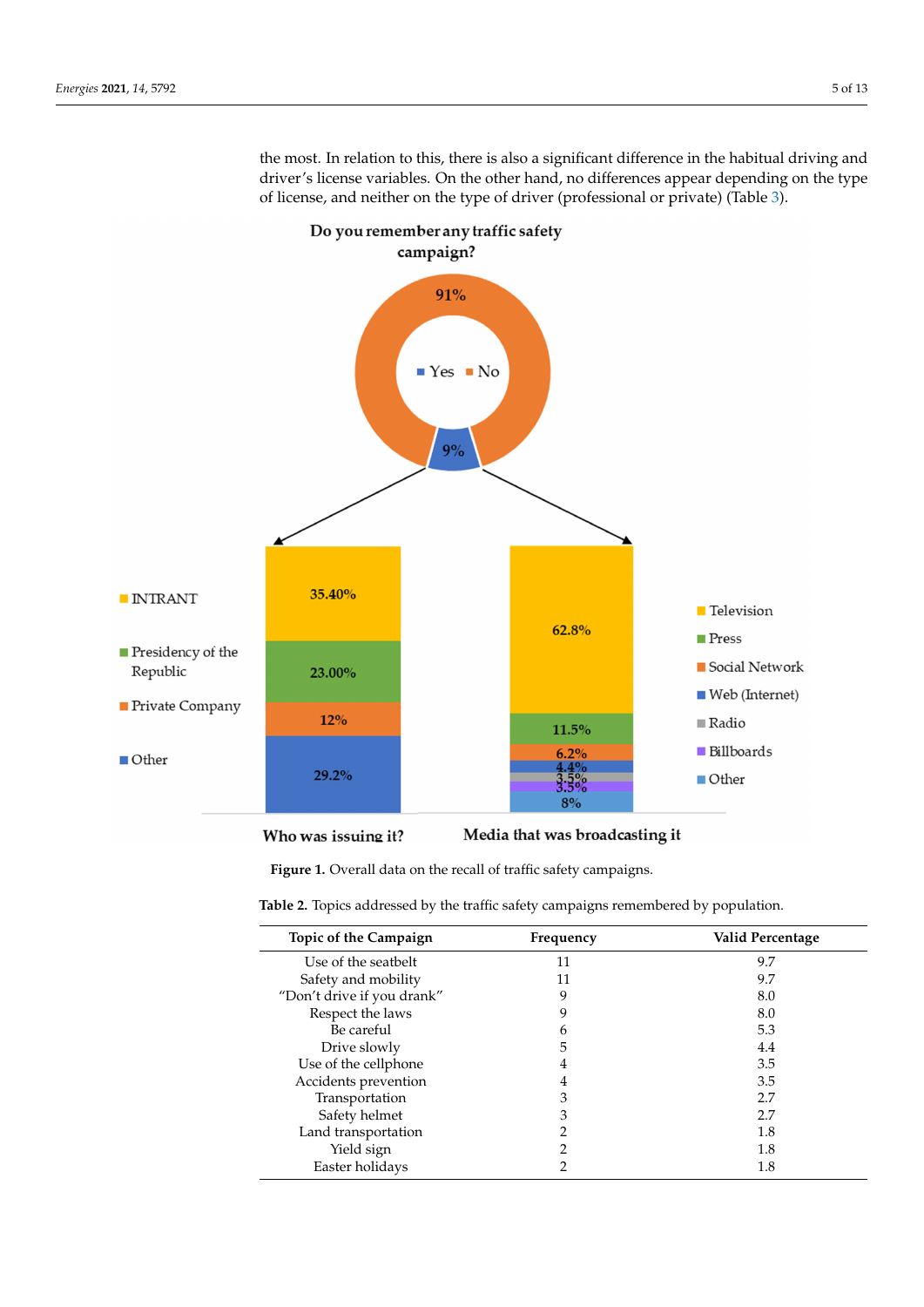$\blacksquare$  INTRANT

Republic

 $\Box$  Other

 $\blacksquare$  Presidency of the

**Private Company** 

**Television** 

Social Network

 $\blacksquare$  Web (Internet)

**Press** 

 $\blacksquare$  <br> Radio

Other

Billboards

<span id="page-4-0"></span>

the most. In relation to this, there is also a significant difference in the habitual driving and driver's license variables. On the other hand, no differences appear depending on the type

#### Media that was broadcasting it Who was issuing it?

**Figure 1.** Overall data on the recall of traffic safety campaigns. **Figure 1.** Overall data on the recall of traffic safety campaigns.

 $9%$ 

35.40%

23.00%

12%

29.2%

 $\epsilon$  2. Topics addressed by the traffic safety campaigns remembered by population **Table 2.** Topics addressed by the traffic safety campaigns remembered by population.

| Topic of the Campaign      | Frequency | Valid Percentage |
|----------------------------|-----------|------------------|
| Use of the seatbelt        | 11        | 9.7              |
| Safety and mobility        | 11        | 9.7              |
| "Don't drive if you drank" | 9         | 8.0              |
| Respect the laws           | q         | 8.0              |
| Be careful                 | h         | 5.3              |
| Drive slowly               | 5         | 4.4              |
| Use of the cellphone       | 4         | 3.5              |
| Accidents prevention       | 4         | 3.5              |
| Transportation             | 3         | 2.7              |
| Safety helmet              | 3         | 2.7              |
| Land transportation        |           | 1.8              |
| Yield sign                 | ∍         | 1.8              |
| Easter holidays            |           | 1.8              |

62.8%

11.5%

 $6.2%$ 

 $\frac{4.4\%}{3.5\%}$ 

 $8%$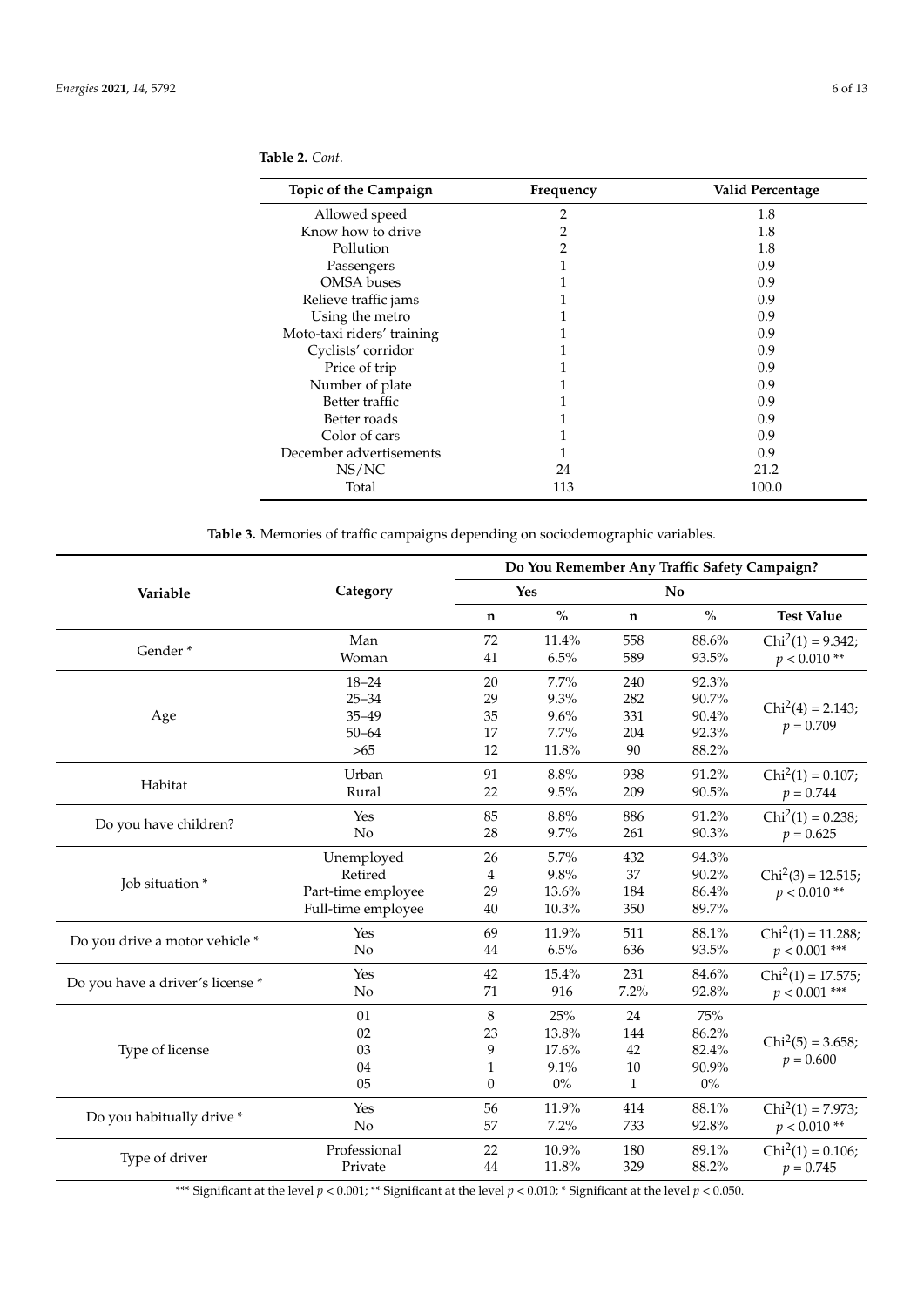| Topic of the Campaign      | Frequency | Valid Percentage |
|----------------------------|-----------|------------------|
| Allowed speed              | 2         | 1.8              |
| Know how to drive          | 2         | 1.8              |
| Pollution                  | 2         | 1.8              |
| Passengers                 |           | 0.9              |
| <b>OMSA</b> buses          |           | 0.9              |
| Relieve traffic jams       |           | 0.9              |
| Using the metro            |           | 0.9              |
| Moto-taxi riders' training |           | 0.9              |
| Cyclists' corridor         |           | 0.9              |
| Price of trip              |           | 0.9              |
| Number of plate            |           | 0.9              |
| Better traffic             |           | 0.9              |
| Better roads               |           | 0.9              |
| Color of cars              |           | 0.9              |
| December advertisements    |           | 0.9              |
| NS/NC                      | 24        | 21.2             |
| Total                      | 113       | 100.0            |

<span id="page-5-0"></span>**Table 2.** *Cont.*

**Table 3.** Memories of traffic campaigns depending on sociodemographic variables.

<span id="page-5-1"></span>

|                                  |                                                                   | Do You Remember Any Traffic Safety Campaign? |                                        |                                           |                                         |                                        |  |
|----------------------------------|-------------------------------------------------------------------|----------------------------------------------|----------------------------------------|-------------------------------------------|-----------------------------------------|----------------------------------------|--|
| Variable                         | Category                                                          |                                              | Yes                                    | No                                        |                                         |                                        |  |
|                                  |                                                                   | $\%$<br>n                                    |                                        | $\%$<br>n                                 |                                         | <b>Test Value</b>                      |  |
| Gender*                          | Man<br>Woman                                                      | 72<br>41                                     | 11.4%<br>6.5%                          | 558<br>589                                | 88.6%<br>93.5%                          | $Chi2(1) = 9.342;$<br>$p < 0.010**$    |  |
| Age                              | $18 - 24$<br>$25 - 34$<br>$35 - 49$<br>$50 - 64$                  | 20<br>29<br>35<br>17                         | 7.7%<br>9.3%<br>9.6%<br>7.7%           | 240<br>282<br>331<br>204                  | 92.3%<br>90.7%<br>90.4%<br>92.3%        | $Chi2(4) = 2.143;$<br>$p = 0.709$      |  |
| Habitat                          | $>65$<br>Urban<br>Rural                                           | 12<br>91<br>22                               | 11.8%<br>8.8%<br>9.5%                  | 90<br>938<br>209                          | 88.2%<br>91.2%<br>90.5%                 | $Chi2(1) = 0.107;$<br>$p = 0.744$      |  |
| Do you have children?            | Yes<br>No                                                         | 85<br>28                                     | 8.8%<br>9.7%                           | 886<br>261                                | 91.2%<br>90.3%                          | $Chi2(1) = 0.238;$<br>$p = 0.625$      |  |
| Job situation *                  | Unemployed<br>Retired<br>Part-time employee<br>Full-time employee | 26<br>4<br>29<br>40                          | 5.7%<br>9.8%<br>13.6%<br>10.3%         | 432<br>37<br>184<br>350                   | 94.3%<br>90.2%<br>86.4%<br>89.7%        | $Chi2(3) = 12.515;$<br>$p < 0.010**$   |  |
| Do you drive a motor vehicle *   | Yes<br>No                                                         | 69<br>44                                     | 11.9%<br>6.5%                          | 511<br>636                                | 88.1%<br>93.5%                          | $Chi2(1) = 11.288;$<br>$p < 0.001$ *** |  |
| Do you have a driver's license * | Yes<br>No                                                         | 42<br>71                                     | 15.4%<br>916                           | 231<br>7.2%                               | 84.6%<br>92.8%                          | $Chi2(1) = 17.575;$<br>$p < 0.001$ *** |  |
| Type of license                  | 01<br>02<br>03<br>04<br>05                                        | 8<br>23<br>9<br>1<br>0                       | 25%<br>13.8%<br>17.6%<br>9.1%<br>$0\%$ | 24<br>144<br>42<br>$10\,$<br>$\mathbf{1}$ | 75%<br>86.2%<br>82.4%<br>90.9%<br>$0\%$ | $Chi2(5) = 3.658;$<br>$p = 0.600$      |  |
| Do you habitually drive *        | Yes<br>No                                                         | 56<br>57                                     | 11.9%<br>7.2%                          | 414<br>733                                | 88.1%<br>92.8%                          | $Chi2(1) = 7.973;$<br>$p < 0.010**$    |  |
| Type of driver                   | Professional<br>Private                                           | 22<br>44                                     | 10.9%<br>11.8%                         | 180<br>329                                | 89.1%<br>88.2%                          | $Chi2(1) = 0.106;$<br>$p = 0.745$      |  |

\*\*\* Significant at the level  $p < 0.001$ ; \*\* Significant at the level  $p < 0.010$ ; \* Significant at the level  $p < 0.050$ .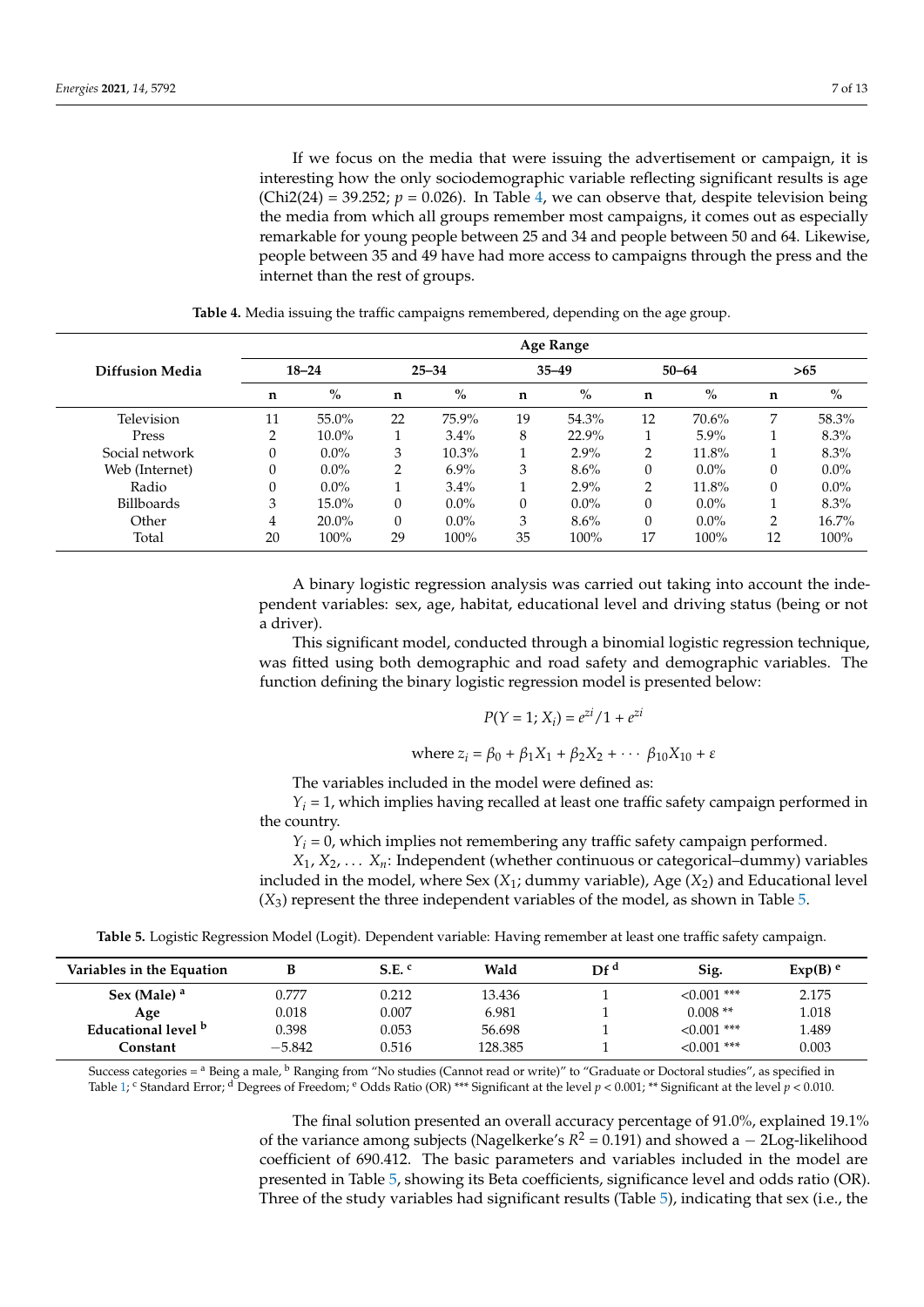If we focus on the media that were issuing the advertisement or campaign, it is interesting how the only sociodemographic variable reflecting significant results is age (Chi2(24) = 39.252;  $p = 0.026$ ). In Table [4,](#page-6-0) we can observe that, despite television being the media from which all groups remember most campaigns, it comes out as especially remarkable for young people between 25 and 34 and people between 50 and 64. Likewise, people between 35 and 49 have had more access to campaigns through the press and the internet than the rest of groups.

<span id="page-6-0"></span>

|                        |           |          |           |          |           | Age Range |           |         |     |         |
|------------------------|-----------|----------|-----------|----------|-----------|-----------|-----------|---------|-----|---------|
| <b>Diffusion Media</b> | $18 - 24$ |          | $25 - 34$ |          | $35 - 49$ |           | $50 - 64$ |         | >65 |         |
|                        | n         | $\%$     | n         | $\%$     | n         | $\%$      | n         | $\%$    | n   | $\%$    |
| Television             | 11        | 55.0%    | 22        | 75.9%    | 19        | 54.3%     | 12        | 70.6%   | 7   | 58.3%   |
| Press                  | 2         | $10.0\%$ |           | $3.4\%$  | 8         | 22.9%     |           | $5.9\%$ |     | 8.3%    |
| Social network         | 0         | $0.0\%$  | 3         | $10.3\%$ |           | $2.9\%$   | 2         | 11.8%   |     | $8.3\%$ |
| Web (Internet)         | 0         | $0.0\%$  | 2         | $6.9\%$  | 3         | $8.6\%$   | $\Omega$  | $0.0\%$ | 0   | $0.0\%$ |
| Radio                  | 0         | $0.0\%$  |           | 3.4%     |           | $2.9\%$   | 2         | 11.8%   | 0   | $0.0\%$ |
| <b>Billboards</b>      | 3         | 15.0%    | $\Omega$  | $0.0\%$  | 0         | $0.0\%$   | $\Omega$  | $0.0\%$ |     | $8.3\%$ |
| Other                  | 4         | $20.0\%$ | $\Omega$  | $0.0\%$  | 3         | $8.6\%$   | $\Omega$  | $0.0\%$ | 2   | 16.7%   |
| Total                  | 20        | 100%     | 29        | 100%     | 35        | 100%      | 17        | 100%    | 12  | 100%    |

**Table 4.** Media issuing the traffic campaigns remembered, depending on the age group.

A binary logistic regression analysis was carried out taking into account the independent variables: sex, age, habitat, educational level and driving status (being or not a driver).

This significant model, conducted through a binomial logistic regression technique, was fitted using both demographic and road safety and demographic variables. The function defining the binary logistic regression model is presented below:

$$
P(Y = 1; X_i) = e^{zi}/1 + e^{zi}
$$

where 
$$
z_i = \beta_0 + \beta_1 X_1 + \beta_2 X_2 + \cdots + \beta_{10} X_{10} + \varepsilon
$$

The variables included in the model were defined as:

 $Y_i = 1$ , which implies having recalled at least one traffic safety campaign performed in the country.

 $Y_i = 0$ , which implies not remembering any traffic safety campaign performed.

*X*1, *X*2, . . . *Xn*: Independent (whether continuous or categorical–dummy) variables included in the model, where Sex (*X*1; dummy variable), Age (*X*2) and Educational level (*X*3) represent the three independent variables of the model, as shown in Table [5.](#page-6-1)

**Table 5.** Logistic Regression Model (Logit). Dependent variable: Having remember at least one traffic safety campaign.

<span id="page-6-1"></span>

| Variables in the Equation |          | $S.E.$ <sup>c</sup> | Wald    | DF <sup>d</sup> | Sig.             | $Exp(B)$ <sup>e</sup> |
|---------------------------|----------|---------------------|---------|-----------------|------------------|-----------------------|
| Sex (Male) <sup>a</sup>   | 0.777    | 0.212               | 13.436  |                 | $<0.001$ ***     | 2.175                 |
| Age                       | 0.018    | 0.007               | 6.981   |                 | $0.008**$        | 1.018                 |
| Educational level b       | 0.398    | 0.053               | 56.698  |                 | $<0.001$ ***     | 1.489                 |
| Constant                  | $-5.842$ | 0.516               | 128.385 |                 | $\leq 0.001$ *** | 0.003                 |

Success categories =  $^{\rm a}$  Being a male,  $^{\rm b}$  Ranging from "No studies (Cannot read or write)" to "Graduate or Doctoral studies", as specified in Table [1;](#page-2-0) C Standard Error; <sup>d</sup> Degrees of Freedom; <sup>e</sup> Odds Ratio (OR) \*\*\* Significant at the level *p* < 0.001; \*\* Significant at the level *p* < 0.010.

> The final solution presented an overall accuracy percentage of 91.0%, explained 19.1% of the variance among subjects (Nagelkerke's  $R^2 = 0.191$ ) and showed a  $-$  2Log-likelihood coefficient of 690.412. The basic parameters and variables included in the model are presented in Table [5,](#page-6-1) showing its Beta coefficients, significance level and odds ratio (OR). Three of the study variables had significant results (Table [5\)](#page-6-1), indicating that sex (i.e., the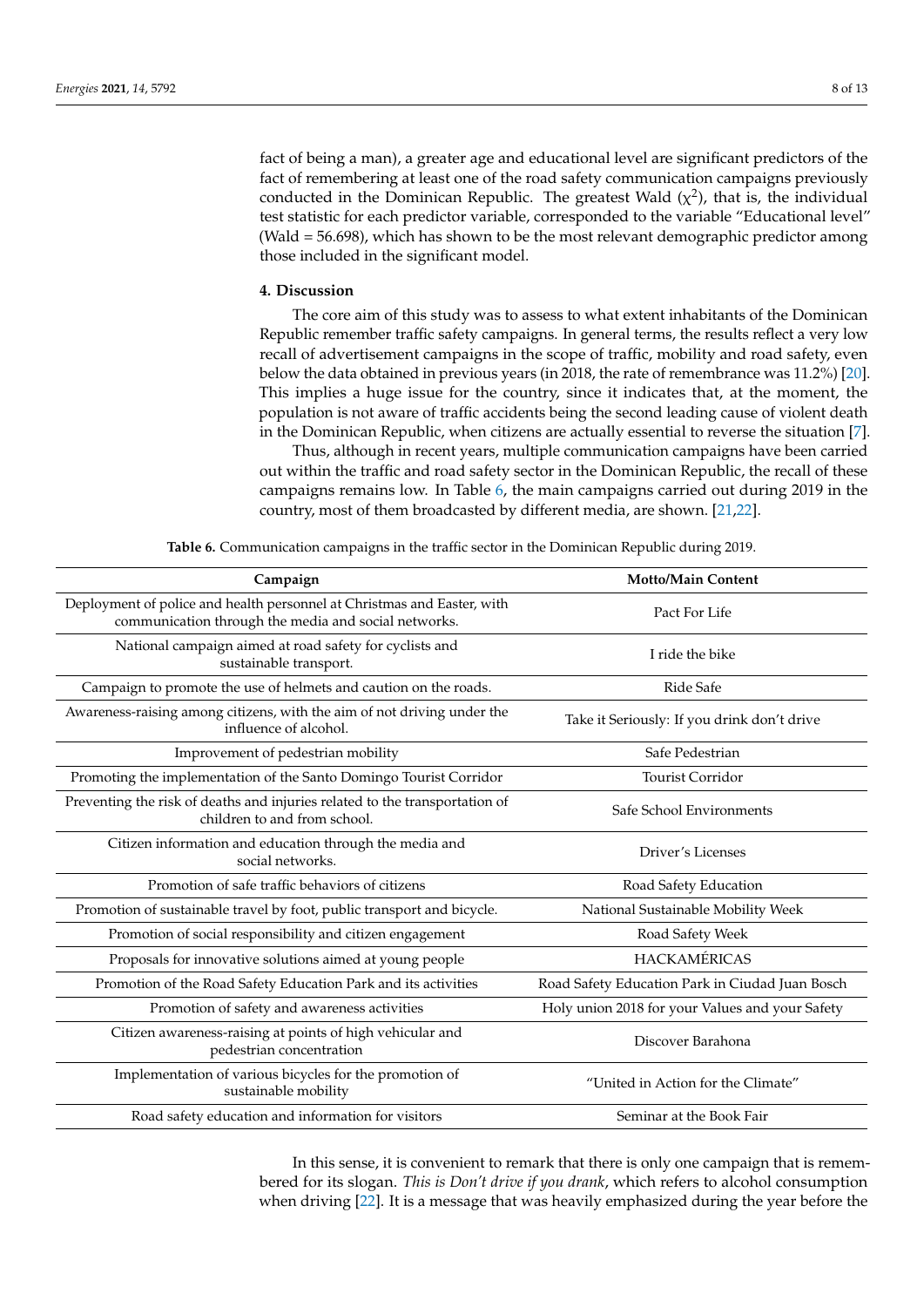fact of being a man), a greater age and educational level are significant predictors of the fact of remembering at least one of the road safety communication campaigns previously conducted in the Dominican Republic. The greatest Wald  $(\chi^2)$ , that is, the individual test statistic for each predictor variable, corresponded to the variable "Educational level" (Wald = 56.698), which has shown to be the most relevant demographic predictor among those included in the significant model.

## **4. Discussion**

The core aim of this study was to assess to what extent inhabitants of the Dominican Republic remember traffic safety campaigns. In general terms, the results reflect a very low recall of advertisement campaigns in the scope of traffic, mobility and road safety, even below the data obtained in previous years (in 2018, the rate of remembrance was 11.2%) [\[20\]](#page-11-6). This implies a huge issue for the country, since it indicates that, at the moment, the population is not aware of traffic accidents being the second leading cause of violent death in the Dominican Republic, when citizens are actually essential to reverse the situation [\[7\]](#page-10-6).

Thus, although in recent years, multiple communication campaigns have been carried out within the traffic and road safety sector in the Dominican Republic, the recall of these campaigns remains low. In Table [6,](#page-7-0) the main campaigns carried out during 2019 in the country, most of them broadcasted by different media, are shown. [\[21,](#page-11-7)[22\]](#page-11-8).

<span id="page-7-0"></span>

| Campaign                                                                                                                        | <b>Motto/Main Content</b>                       |  |  |
|---------------------------------------------------------------------------------------------------------------------------------|-------------------------------------------------|--|--|
| Deployment of police and health personnel at Christmas and Easter, with<br>communication through the media and social networks. | Pact For Life                                   |  |  |
| National campaign aimed at road safety for cyclists and<br>sustainable transport.                                               | I ride the bike                                 |  |  |
| Campaign to promote the use of helmets and caution on the roads.                                                                | Ride Safe                                       |  |  |
| Awareness-raising among citizens, with the aim of not driving under the<br>influence of alcohol.                                | Take it Seriously: If you drink don't drive     |  |  |
| Improvement of pedestrian mobility                                                                                              | Safe Pedestrian                                 |  |  |
| Promoting the implementation of the Santo Domingo Tourist Corridor                                                              | Tourist Corridor                                |  |  |
| Preventing the risk of deaths and injuries related to the transportation of<br>children to and from school.                     | Safe School Environments                        |  |  |
| Citizen information and education through the media and<br>social networks.                                                     | Driver's Licenses                               |  |  |
| Promotion of safe traffic behaviors of citizens                                                                                 | Road Safety Education                           |  |  |
| Promotion of sustainable travel by foot, public transport and bicycle.                                                          | National Sustainable Mobility Week              |  |  |
| Promotion of social responsibility and citizen engagement                                                                       | Road Safety Week                                |  |  |
| Proposals for innovative solutions aimed at young people                                                                        | <b>HACKAMÉRICAS</b>                             |  |  |
| Promotion of the Road Safety Education Park and its activities                                                                  | Road Safety Education Park in Ciudad Juan Bosch |  |  |
| Promotion of safety and awareness activities                                                                                    | Holy union 2018 for your Values and your Safety |  |  |
| Citizen awareness-raising at points of high vehicular and<br>pedestrian concentration                                           | Discover Barahona                               |  |  |
| Implementation of various bicycles for the promotion of<br>sustainable mobility                                                 | "United in Action for the Climate"              |  |  |
| Road safety education and information for visitors                                                                              | Seminar at the Book Fair                        |  |  |

**Table 6.** Communication campaigns in the traffic sector in the Dominican Republic during 2019.

In this sense, it is convenient to remark that there is only one campaign that is remembered for its slogan. *This is Don't drive if you drank*, which refers to alcohol consumption when driving [\[22\]](#page-11-8). It is a message that was heavily emphasized during the year before the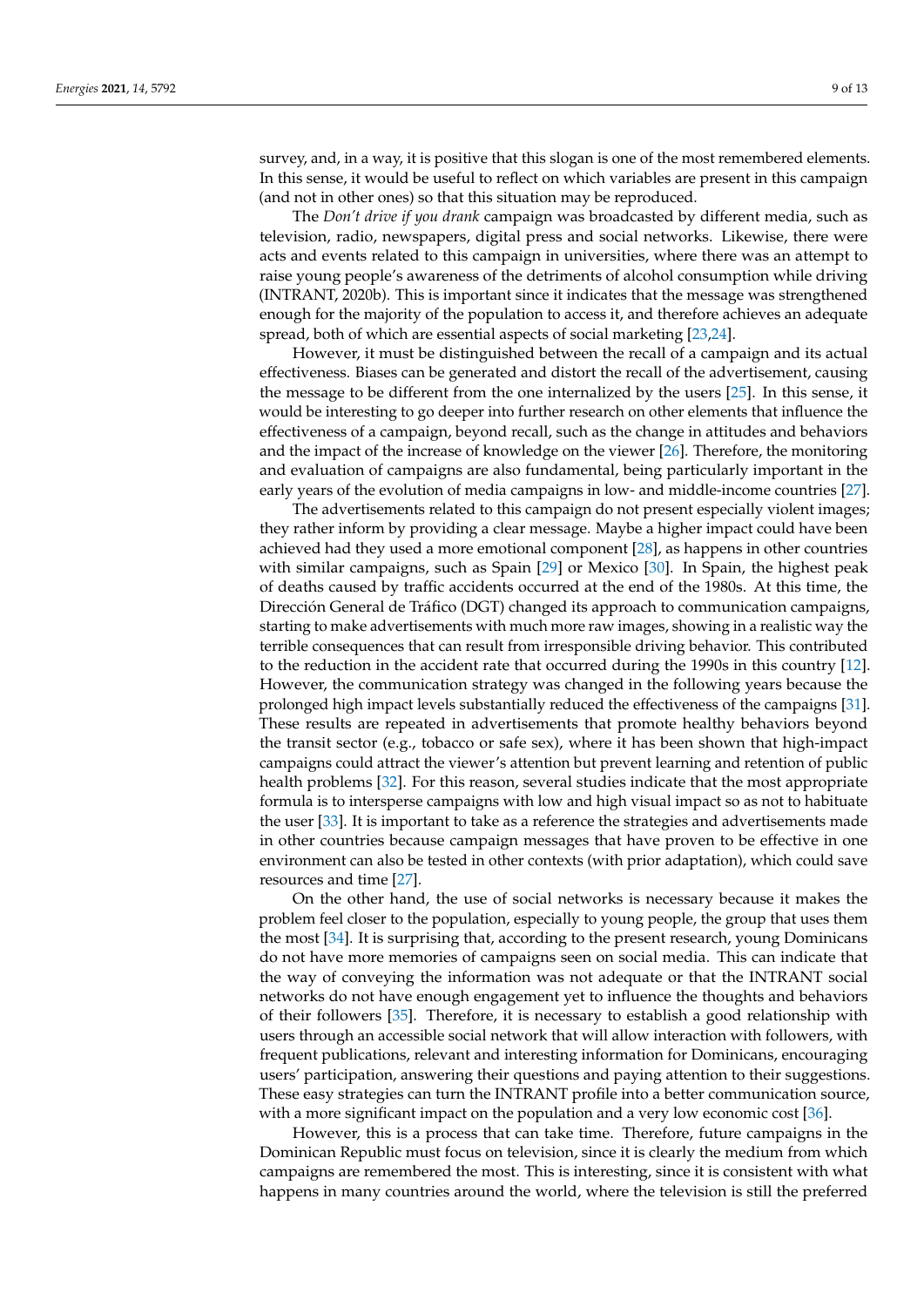survey, and, in a way, it is positive that this slogan is one of the most remembered elements. In this sense, it would be useful to reflect on which variables are present in this campaign (and not in other ones) so that this situation may be reproduced.

The *Don't drive if you drank* campaign was broadcasted by different media, such as television, radio, newspapers, digital press and social networks. Likewise, there were acts and events related to this campaign in universities, where there was an attempt to raise young people's awareness of the detriments of alcohol consumption while driving (INTRANT, 2020b). This is important since it indicates that the message was strengthened enough for the majority of the population to access it, and therefore achieves an adequate spread, both of which are essential aspects of social marketing [\[23,](#page-11-9)[24\]](#page-11-10).

However, it must be distinguished between the recall of a campaign and its actual effectiveness. Biases can be generated and distort the recall of the advertisement, causing the message to be different from the one internalized by the users [\[25\]](#page-11-11). In this sense, it would be interesting to go deeper into further research on other elements that influence the effectiveness of a campaign, beyond recall, such as the change in attitudes and behaviors and the impact of the increase of knowledge on the viewer [\[26\]](#page-11-12). Therefore, the monitoring and evaluation of campaigns are also fundamental, being particularly important in the early years of the evolution of media campaigns in low- and middle-income countries [\[27\]](#page-11-13).

The advertisements related to this campaign do not present especially violent images; they rather inform by providing a clear message. Maybe a higher impact could have been achieved had they used a more emotional component [\[28\]](#page-11-14), as happens in other countries with similar campaigns, such as Spain [\[29\]](#page-11-15) or Mexico [\[30\]](#page-11-16). In Spain, the highest peak of deaths caused by traffic accidents occurred at the end of the 1980s. At this time, the Dirección General de Tráfico (DGT) changed its approach to communication campaigns, starting to make advertisements with much more raw images, showing in a realistic way the terrible consequences that can result from irresponsible driving behavior. This contributed to the reduction in the accident rate that occurred during the 1990s in this country [\[12\]](#page-10-11). However, the communication strategy was changed in the following years because the prolonged high impact levels substantially reduced the effectiveness of the campaigns [\[31\]](#page-11-17). These results are repeated in advertisements that promote healthy behaviors beyond the transit sector (e.g., tobacco or safe sex), where it has been shown that high-impact campaigns could attract the viewer's attention but prevent learning and retention of public health problems [\[32\]](#page-11-18). For this reason, several studies indicate that the most appropriate formula is to intersperse campaigns with low and high visual impact so as not to habituate the user [\[33\]](#page-11-19). It is important to take as a reference the strategies and advertisements made in other countries because campaign messages that have proven to be effective in one environment can also be tested in other contexts (with prior adaptation), which could save resources and time [\[27\]](#page-11-13).

On the other hand, the use of social networks is necessary because it makes the problem feel closer to the population, especially to young people, the group that uses them the most [\[34\]](#page-11-20). It is surprising that, according to the present research, young Dominicans do not have more memories of campaigns seen on social media. This can indicate that the way of conveying the information was not adequate or that the INTRANT social networks do not have enough engagement yet to influence the thoughts and behaviors of their followers [\[35\]](#page-11-21). Therefore, it is necessary to establish a good relationship with users through an accessible social network that will allow interaction with followers, with frequent publications, relevant and interesting information for Dominicans, encouraging users' participation, answering their questions and paying attention to their suggestions. These easy strategies can turn the INTRANT profile into a better communication source, with a more significant impact on the population and a very low economic cost [\[36\]](#page-11-22).

However, this is a process that can take time. Therefore, future campaigns in the Dominican Republic must focus on television, since it is clearly the medium from which campaigns are remembered the most. This is interesting, since it is consistent with what happens in many countries around the world, where the television is still the preferred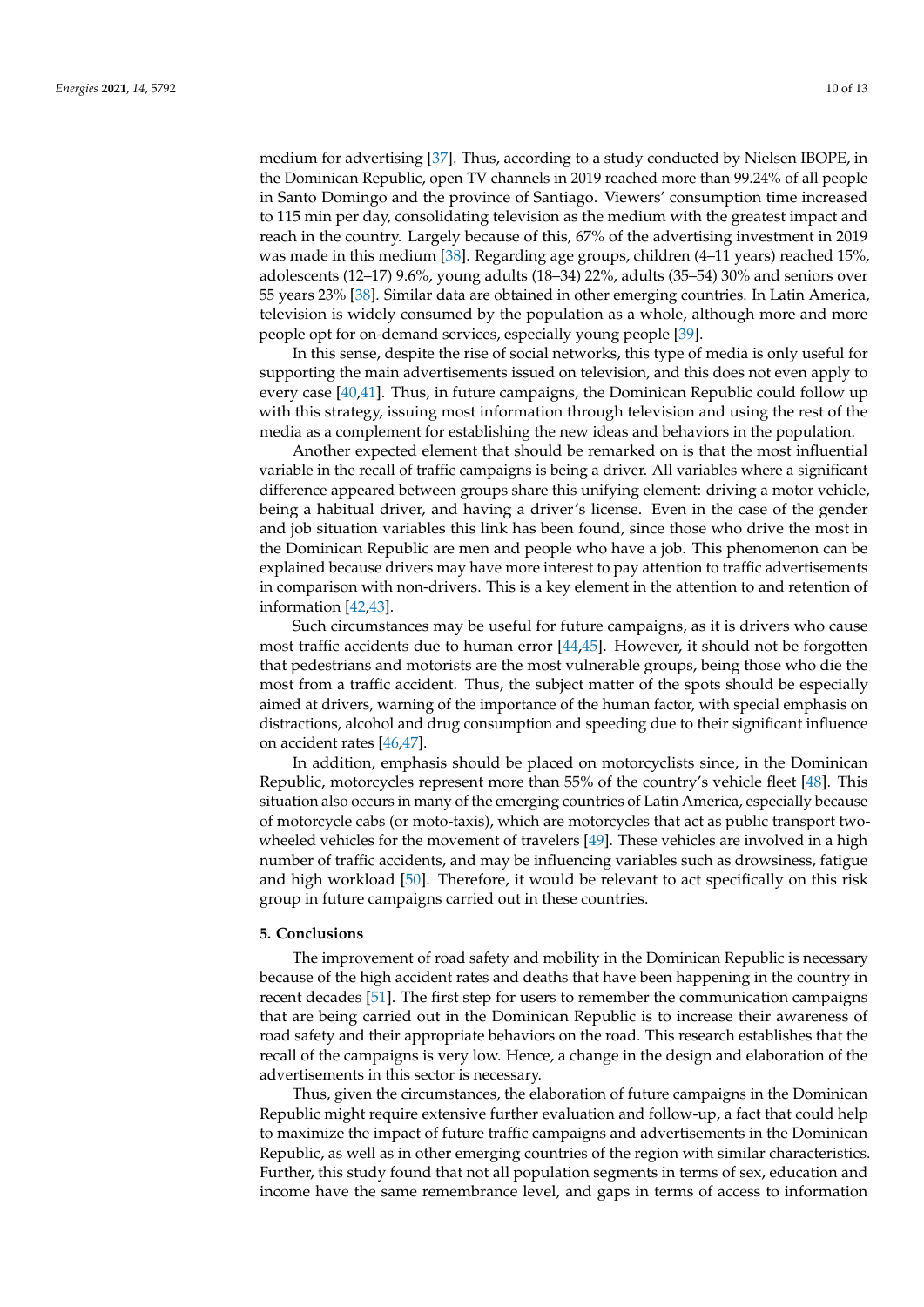medium for advertising [\[37\]](#page-11-23). Thus, according to a study conducted by Nielsen IBOPE, in the Dominican Republic, open TV channels in 2019 reached more than 99.24% of all people in Santo Domingo and the province of Santiago. Viewers' consumption time increased to 115 min per day, consolidating television as the medium with the greatest impact and reach in the country. Largely because of this, 67% of the advertising investment in 2019 was made in this medium [\[38\]](#page-11-24). Regarding age groups, children (4–11 years) reached 15%, adolescents (12–17) 9.6%, young adults (18–34) 22%, adults (35–54) 30% and seniors over 55 years 23% [\[38\]](#page-11-24). Similar data are obtained in other emerging countries. In Latin America, television is widely consumed by the population as a whole, although more and more people opt for on-demand services, especially young people [\[39\]](#page-12-0).

In this sense, despite the rise of social networks, this type of media is only useful for supporting the main advertisements issued on television, and this does not even apply to every case [\[40](#page-12-1)[,41\]](#page-12-2). Thus, in future campaigns, the Dominican Republic could follow up with this strategy, issuing most information through television and using the rest of the media as a complement for establishing the new ideas and behaviors in the population.

Another expected element that should be remarked on is that the most influential variable in the recall of traffic campaigns is being a driver. All variables where a significant difference appeared between groups share this unifying element: driving a motor vehicle, being a habitual driver, and having a driver's license. Even in the case of the gender and job situation variables this link has been found, since those who drive the most in the Dominican Republic are men and people who have a job. This phenomenon can be explained because drivers may have more interest to pay attention to traffic advertisements in comparison with non-drivers. This is a key element in the attention to and retention of information [\[42,](#page-12-3)[43\]](#page-12-4).

Such circumstances may be useful for future campaigns, as it is drivers who cause most traffic accidents due to human error  $[44,45]$  $[44,45]$ . However, it should not be forgotten that pedestrians and motorists are the most vulnerable groups, being those who die the most from a traffic accident. Thus, the subject matter of the spots should be especially aimed at drivers, warning of the importance of the human factor, with special emphasis on distractions, alcohol and drug consumption and speeding due to their significant influence on accident rates [\[46,](#page-12-7)[47\]](#page-12-8).

In addition, emphasis should be placed on motorcyclists since, in the Dominican Republic, motorcycles represent more than 55% of the country's vehicle fleet [\[48\]](#page-12-9). This situation also occurs in many of the emerging countries of Latin America, especially because of motorcycle cabs (or moto-taxis), which are motorcycles that act as public transport twowheeled vehicles for the movement of travelers [\[49\]](#page-12-10). These vehicles are involved in a high number of traffic accidents, and may be influencing variables such as drowsiness, fatigue and high workload [\[50\]](#page-12-11). Therefore, it would be relevant to act specifically on this risk group in future campaigns carried out in these countries.

#### **5. Conclusions**

The improvement of road safety and mobility in the Dominican Republic is necessary because of the high accident rates and deaths that have been happening in the country in recent decades [\[51\]](#page-12-12). The first step for users to remember the communication campaigns that are being carried out in the Dominican Republic is to increase their awareness of road safety and their appropriate behaviors on the road. This research establishes that the recall of the campaigns is very low. Hence, a change in the design and elaboration of the advertisements in this sector is necessary.

Thus, given the circumstances, the elaboration of future campaigns in the Dominican Republic might require extensive further evaluation and follow-up, a fact that could help to maximize the impact of future traffic campaigns and advertisements in the Dominican Republic, as well as in other emerging countries of the region with similar characteristics. Further, this study found that not all population segments in terms of sex, education and income have the same remembrance level, and gaps in terms of access to information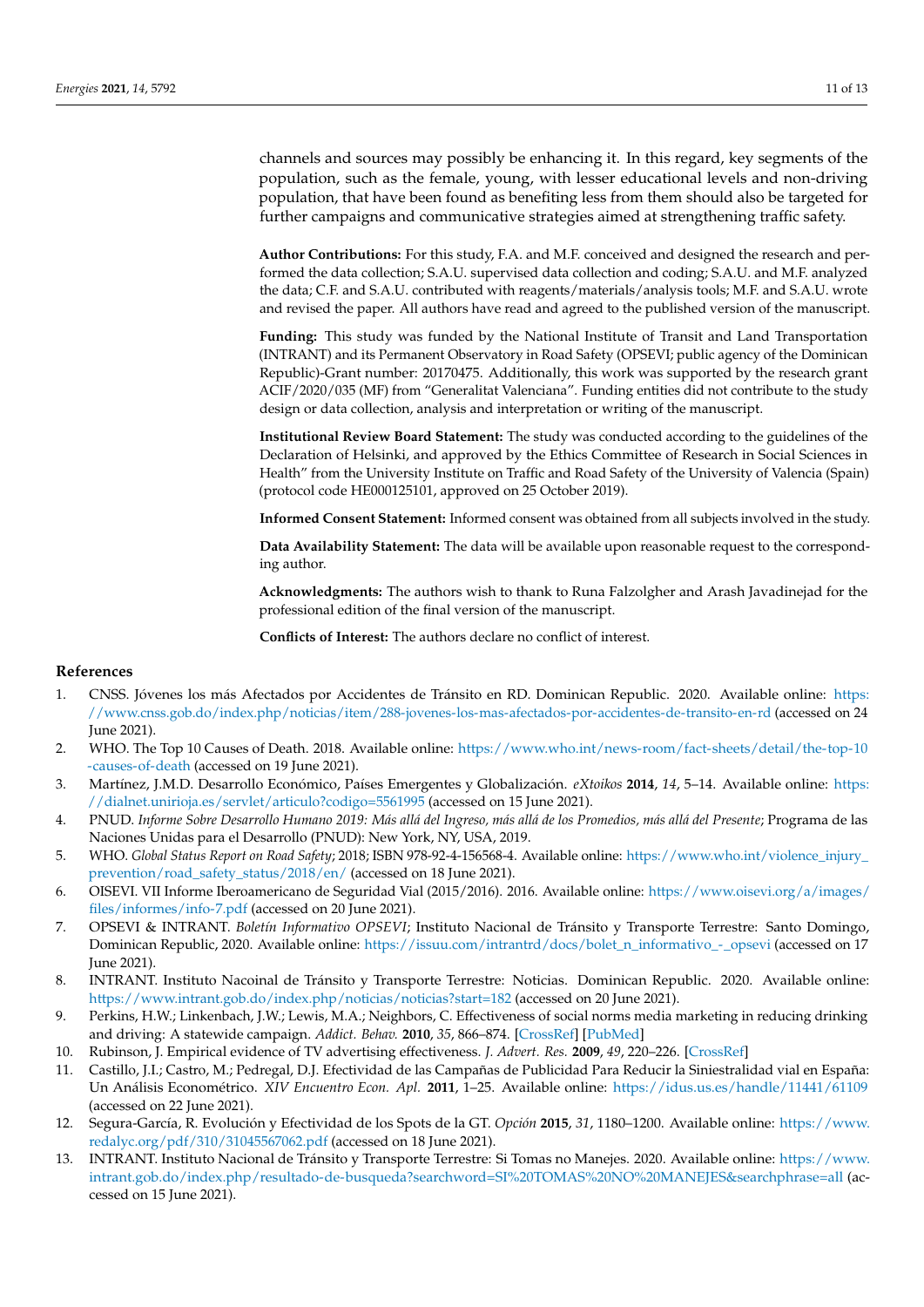channels and sources may possibly be enhancing it. In this regard, key segments of the population, such as the female, young, with lesser educational levels and non-driving population, that have been found as benefiting less from them should also be targeted for further campaigns and communicative strategies aimed at strengthening traffic safety.

**Author Contributions:** For this study, F.A. and M.F. conceived and designed the research and performed the data collection; S.A.U. supervised data collection and coding; S.A.U. and M.F. analyzed the data; C.F. and S.A.U. contributed with reagents/materials/analysis tools; M.F. and S.A.U. wrote and revised the paper. All authors have read and agreed to the published version of the manuscript.

**Funding:** This study was funded by the National Institute of Transit and Land Transportation (INTRANT) and its Permanent Observatory in Road Safety (OPSEVI; public agency of the Dominican Republic)-Grant number: 20170475. Additionally, this work was supported by the research grant ACIF/2020/035 (MF) from "Generalitat Valenciana". Funding entities did not contribute to the study design or data collection, analysis and interpretation or writing of the manuscript.

**Institutional Review Board Statement:** The study was conducted according to the guidelines of the Declaration of Helsinki, and approved by the Ethics Committee of Research in Social Sciences in Health" from the University Institute on Traffic and Road Safety of the University of Valencia (Spain) (protocol code HE000125101, approved on 25 October 2019).

**Informed Consent Statement:** Informed consent was obtained from all subjects involved in the study.

**Data Availability Statement:** The data will be available upon reasonable request to the corresponding author.

**Acknowledgments:** The authors wish to thank to Runa Falzolgher and Arash Javadinejad for the professional edition of the final version of the manuscript.

**Conflicts of Interest:** The authors declare no conflict of interest.

### **References**

- <span id="page-10-0"></span>1. CNSS. Jóvenes los más Afectados por Accidentes de Tránsito en RD. Dominican Republic. 2020. Available online: [https:](https://www.cnss.gob.do/index.php/noticias/item/288-jovenes-los-mas-afectados-por-accidentes-de-transito-en-rd) [//www.cnss.gob.do/index.php/noticias/item/288-jovenes-los-mas-afectados-por-accidentes-de-transito-en-rd](https://www.cnss.gob.do/index.php/noticias/item/288-jovenes-los-mas-afectados-por-accidentes-de-transito-en-rd) (accessed on 24 June 2021).
- <span id="page-10-1"></span>2. WHO. The Top 10 Causes of Death. 2018. Available online: [https://www.who.int/news-room/fact-sheets/detail/the-top-10](https://www.who.int/news-room/fact-sheets/detail/the-top-10-causes-of-death) [-causes-of-death](https://www.who.int/news-room/fact-sheets/detail/the-top-10-causes-of-death) (accessed on 19 June 2021).
- <span id="page-10-2"></span>3. Martínez, J.M.D. Desarrollo Económico, Países Emergentes y Globalización. *eXtoikos* **2014**, *14*, 5–14. Available online: [https:](https://dialnet.unirioja.es/servlet/articulo?codigo=5561995) [//dialnet.unirioja.es/servlet/articulo?codigo=5561995](https://dialnet.unirioja.es/servlet/articulo?codigo=5561995) (accessed on 15 June 2021).
- <span id="page-10-3"></span>4. PNUD. Informe Sobre Desarrollo Humano 2019: Más allá del Ingreso, más allá de los Promedios, más allá del Presente; Programa de las Naciones Unidas para el Desarrollo (PNUD): New York, NY, USA, 2019.
- <span id="page-10-4"></span>5. WHO. *Global Status Report on Road Safety*; 2018; ISBN 978-92-4-156568-4. Available online: [https://www.who.int/violence\\_injury\\_](https://www.who.int/violence_injury_prevention/road_safety_status/2018/en/) [prevention/road\\_safety\\_status/2018/en/](https://www.who.int/violence_injury_prevention/road_safety_status/2018/en/) (accessed on 18 June 2021).
- <span id="page-10-5"></span>6. OISEVI. VII Informe Iberoamericano de Seguridad Vial (2015/2016). 2016. Available online: [https://www.oisevi.org/a/images/](https://www.oisevi.org/a/images/files/informes/info-7.pdf) [files/informes/info-7.pdf](https://www.oisevi.org/a/images/files/informes/info-7.pdf) (accessed on 20 June 2021).
- <span id="page-10-6"></span>7. OPSEVI & INTRANT. *Boletín Informativo OPSEVI*; Instituto Nacional de Tránsito y Transporte Terrestre: Santo Domingo, Dominican Republic, 2020. Available online: [https://issuu.com/intrantrd/docs/bolet\\_n\\_informativo\\_-\\_opsevi](https://issuu.com/intrantrd/docs/bolet_n_informativo_-_opsevi) (accessed on 17 June 2021).
- <span id="page-10-7"></span>8. INTRANT. Instituto Nacoinal de Tránsito y Transporte Terrestre: Noticias. Dominican Republic. 2020. Available online: <https://www.intrant.gob.do/index.php/noticias/noticias?start=182> (accessed on 20 June 2021).
- <span id="page-10-8"></span>9. Perkins, H.W.; Linkenbach, J.W.; Lewis, M.A.; Neighbors, C. Effectiveness of social norms media marketing in reducing drinking and driving: A statewide campaign. *Addict. Behav.* **2010**, *35*, 866–874. [\[CrossRef\]](http://doi.org/10.1016/j.addbeh.2010.05.004) [\[PubMed\]](http://www.ncbi.nlm.nih.gov/pubmed/20619177)
- <span id="page-10-9"></span>10. Rubinson, J. Empirical evidence of TV advertising effectiveness. *J. Advert. Res.* **2009**, *49*, 220–226. [\[CrossRef\]](http://doi.org/10.2501/S0021849909090321)
- <span id="page-10-10"></span>11. Castillo, J.I.; Castro, M.; Pedregal, D.J. Efectividad de las Campañas de Publicidad Para Reducir la Siniestralidad vial en España: Un Análisis Econométrico. *XIV Encuentro Econ. Apl.* **2011**, 1–25. Available online: <https://idus.us.es/handle/11441/61109> (accessed on 22 June 2021).
- <span id="page-10-11"></span>12. Segura-García, R. Evolución y Efectividad de los Spots de la GT. *Opción* **2015**, *31*, 1180–1200. Available online: [https://www.](https://www.redalyc.org/pdf/310/31045567062.pdf) [redalyc.org/pdf/310/31045567062.pdf](https://www.redalyc.org/pdf/310/31045567062.pdf) (accessed on 18 June 2021).
- <span id="page-10-12"></span>13. INTRANT. Instituto Nacional de Tránsito y Transporte Terrestre: Si Tomas no Manejes. 2020. Available online: [https://www.](https://www.intrant.gob.do/index.php/resultado-de-busqueda?searchword=SI%20TOMAS%20NO%20MANEJES&searchphrase=all) [intrant.gob.do/index.php/resultado-de-busqueda?searchword=SI%20TOMAS%20NO%20MANEJES&searchphrase=all](https://www.intrant.gob.do/index.php/resultado-de-busqueda?searchword=SI%20TOMAS%20NO%20MANEJES&searchphrase=all) (accessed on 15 June 2021).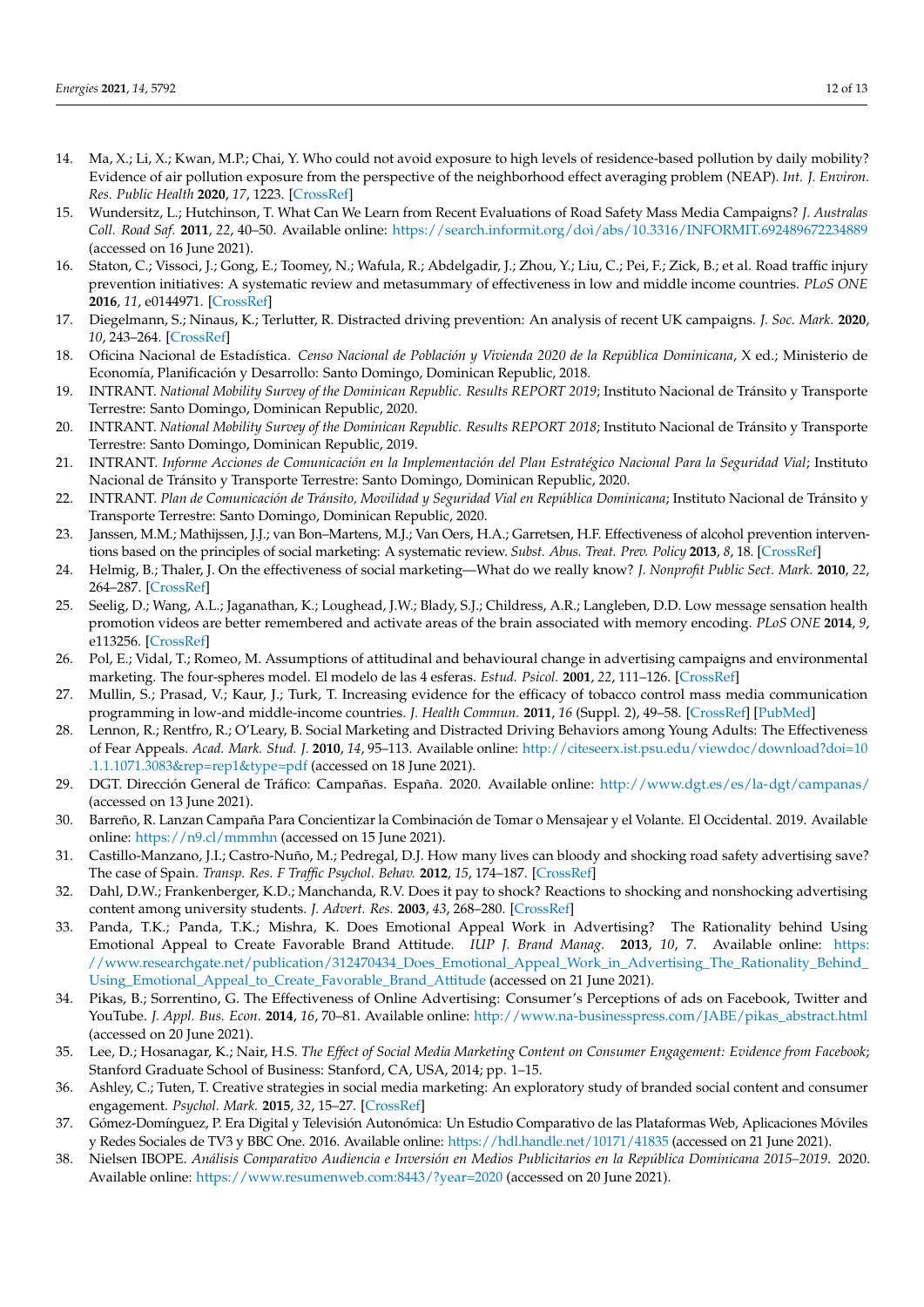- <span id="page-11-0"></span>14. Ma, X.; Li, X.; Kwan, M.P.; Chai, Y. Who could not avoid exposure to high levels of residence-based pollution by daily mobility? Evidence of air pollution exposure from the perspective of the neighborhood effect averaging problem (NEAP). *Int. J. Environ. Res. Public Health* **2020**, *17*, 1223. [\[CrossRef\]](http://doi.org/10.3390/ijerph17041223)
- <span id="page-11-1"></span>15. Wundersitz, L.; Hutchinson, T. What Can We Learn from Recent Evaluations of Road Safety Mass Media Campaigns? *J. Australas Coll. Road Saf.* **2011**, *22*, 40–50. Available online: <https://search.informit.org/doi/abs/10.3316/INFORMIT.692489672234889> (accessed on 16 June 2021).
- <span id="page-11-2"></span>16. Staton, C.; Vissoci, J.; Gong, E.; Toomey, N.; Wafula, R.; Abdelgadir, J.; Zhou, Y.; Liu, C.; Pei, F.; Zick, B.; et al. Road traffic injury prevention initiatives: A systematic review and metasummary of effectiveness in low and middle income countries. *PLoS ONE* **2016**, *11*, e0144971. [\[CrossRef\]](http://doi.org/10.1371/journal.pone.0144971)
- <span id="page-11-3"></span>17. Diegelmann, S.; Ninaus, K.; Terlutter, R. Distracted driving prevention: An analysis of recent UK campaigns. *J. Soc. Mark.* **2020**, *10*, 243–264. [\[CrossRef\]](http://doi.org/10.1108/JSOCM-07-2019-0105)
- <span id="page-11-4"></span>18. Oficina Nacional de Estadística. *Censo Nacional de Población y Vivienda 2020 de la República Dominicana*, X ed.; Ministerio de Economía, Planificación y Desarrollo: Santo Domingo, Dominican Republic, 2018.
- <span id="page-11-5"></span>19. INTRANT. *National Mobility Survey of the Dominican Republic. Results REPORT 2019*; Instituto Nacional de Tránsito y Transporte Terrestre: Santo Domingo, Dominican Republic, 2020.
- <span id="page-11-6"></span>20. INTRANT. *National Mobility Survey of the Dominican Republic. Results REPORT 2018*; Instituto Nacional de Tránsito y Transporte Terrestre: Santo Domingo, Dominican Republic, 2019.
- <span id="page-11-7"></span>21. INTRANT. *Informe Acciones de Comunicación en la Implementación del Plan Estratégico Nacional Para la Seguridad Vial*; Instituto Nacional de Tránsito y Transporte Terrestre: Santo Domingo, Dominican Republic, 2020.
- <span id="page-11-8"></span>22. INTRANT. *Plan de Comunicación de Tránsito, Movilidad y Seguridad Vial en República Dominicana*; Instituto Nacional de Tránsito y Transporte Terrestre: Santo Domingo, Dominican Republic, 2020.
- <span id="page-11-9"></span>23. Janssen, M.M.; Mathijssen, J.J.; van Bon–Martens, M.J.; Van Oers, H.A.; Garretsen, H.F. Effectiveness of alcohol prevention interventions based on the principles of social marketing: A systematic review. *Subst. Abus. Treat. Prev. Policy* **2013**, *8*, 18. [\[CrossRef\]](http://doi.org/10.1186/1747-597X-8-18)
- <span id="page-11-10"></span>24. Helmig, B.; Thaler, J. On the effectiveness of social marketing—What do we really know? *J. Nonprofit Public Sect. Mark.* **2010**, *22*, 264–287. [\[CrossRef\]](http://doi.org/10.1080/10495140903566698)
- <span id="page-11-11"></span>25. Seelig, D.; Wang, A.L.; Jaganathan, K.; Loughead, J.W.; Blady, S.J.; Childress, A.R.; Langleben, D.D. Low message sensation health promotion videos are better remembered and activate areas of the brain associated with memory encoding. *PLoS ONE* **2014**, *9*, e113256. [\[CrossRef\]](http://doi.org/10.1371/journal.pone.0123143)
- <span id="page-11-12"></span>26. Pol, E.; Vidal, T.; Romeo, M. Assumptions of attitudinal and behavioural change in advertising campaigns and environmental marketing. The four-spheres model. El modelo de las 4 esferas. *Estud. Psicol.* **2001**, *22*, 111–126. [\[CrossRef\]](http://doi.org/10.1174/021093901609550)
- <span id="page-11-13"></span>27. Mullin, S.; Prasad, V.; Kaur, J.; Turk, T. Increasing evidence for the efficacy of tobacco control mass media communication programming in low-and middle-income countries. *J. Health Commun.* **2011**, *16* (Suppl. 2), 49–58. [\[CrossRef\]](http://doi.org/10.1080/10810730.2011.601395) [\[PubMed\]](http://www.ncbi.nlm.nih.gov/pubmed/21916713)
- <span id="page-11-14"></span>28. Lennon, R.; Rentfro, R.; O'Leary, B. Social Marketing and Distracted Driving Behaviors among Young Adults: The Effectiveness of Fear Appeals. *Acad. Mark. Stud. J.* **2010**, *14*, 95–113. Available online: [http://citeseerx.ist.psu.edu/viewdoc/download?doi=10](http://citeseerx.ist.psu.edu/viewdoc/download?doi=10.1.1.1071.3083&rep=rep1&type=pdf) [.1.1.1071.3083&rep=rep1&type=pdf](http://citeseerx.ist.psu.edu/viewdoc/download?doi=10.1.1.1071.3083&rep=rep1&type=pdf) (accessed on 18 June 2021).
- <span id="page-11-15"></span>29. DGT. Dirección General de Tráfico: Campañas. España. 2020. Available online: <http://www.dgt.es/es/la-dgt/campanas/> (accessed on 13 June 2021).
- <span id="page-11-16"></span>30. Barreño, R. Lanzan Campaña Para Concientizar la Combinación de Tomar o Mensajear y el Volante. El Occidental. 2019. Available online: <https://n9.cl/mmmhn> (accessed on 15 June 2021).
- <span id="page-11-17"></span>31. Castillo-Manzano, J.I.; Castro-Nuño, M.; Pedregal, D.J. How many lives can bloody and shocking road safety advertising save? The case of Spain. *Transp. Res. F Traffic Psychol. Behav.* **2012**, *15*, 174–187. [\[CrossRef\]](http://doi.org/10.1016/j.trf.2011.12.008)
- <span id="page-11-18"></span>32. Dahl, D.W.; Frankenberger, K.D.; Manchanda, R.V. Does it pay to shock? Reactions to shocking and nonshocking advertising content among university students. *J. Advert. Res.* **2003**, *43*, 268–280. [\[CrossRef\]](http://doi.org/10.1017/S0021849903030332)
- <span id="page-11-19"></span>33. Panda, T.K.; Panda, T.K.; Mishra, K. Does Emotional Appeal Work in Advertising? The Rationality behind Using Emotional Appeal to Create Favorable Brand Attitude. *IUP J. Brand Manag.* **2013**, *10*, 7. Available online: [https:](https://www.researchgate.net/publication/312470434_Does_Emotional_Appeal_Work_in_Advertising_The_Rationality_Behind_Using_Emotional_Appeal_to_Create_Favorable_Brand_Attitude) [//www.researchgate.net/publication/312470434\\_Does\\_Emotional\\_Appeal\\_Work\\_in\\_Advertising\\_The\\_Rationality\\_Behind\\_](https://www.researchgate.net/publication/312470434_Does_Emotional_Appeal_Work_in_Advertising_The_Rationality_Behind_Using_Emotional_Appeal_to_Create_Favorable_Brand_Attitude) [Using\\_Emotional\\_Appeal\\_to\\_Create\\_Favorable\\_Brand\\_Attitude](https://www.researchgate.net/publication/312470434_Does_Emotional_Appeal_Work_in_Advertising_The_Rationality_Behind_Using_Emotional_Appeal_to_Create_Favorable_Brand_Attitude) (accessed on 21 June 2021).
- <span id="page-11-20"></span>34. Pikas, B.; Sorrentino, G. The Effectiveness of Online Advertising: Consumer's Perceptions of ads on Facebook, Twitter and YouTube. *J. Appl. Bus. Econ.* **2014**, *16*, 70–81. Available online: [http://www.na-businesspress.com/JABE/pikas\\_abstract.html](http://www.na-businesspress.com/JABE/pikas_abstract.html) (accessed on 20 June 2021).
- <span id="page-11-21"></span>35. Lee, D.; Hosanagar, K.; Nair, H.S. *The Effect of Social Media Marketing Content on Consumer Engagement: Evidence from Facebook*; Stanford Graduate School of Business: Stanford, CA, USA, 2014; pp. 1–15.
- <span id="page-11-22"></span>36. Ashley, C.; Tuten, T. Creative strategies in social media marketing: An exploratory study of branded social content and consumer engagement. *Psychol. Mark.* **2015**, *32*, 15–27. [\[CrossRef\]](http://doi.org/10.1002/mar.20761)
- <span id="page-11-23"></span>37. Gómez-Domínguez, P. Era Digital y Televisión Autonómica: Un Estudio Comparativo de las Plataformas Web, Aplicaciones Móviles y Redes Sociales de TV3 y BBC One. 2016. Available online: <https://hdl.handle.net/10171/41835> (accessed on 21 June 2021).
- <span id="page-11-24"></span>38. Nielsen IBOPE. *Análisis Comparativo Audiencia e Inversión en Medios Publicitarios en la República Dominicana 2015–2019*. 2020. Available online: <https://www.resumenweb.com:8443/?year=2020> (accessed on 20 June 2021).